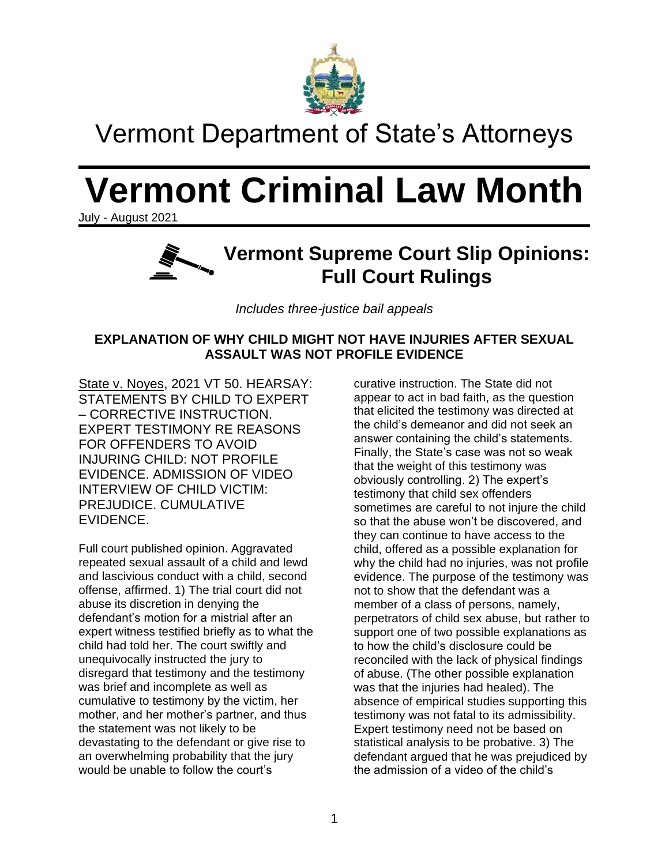

## Vermont Department of State's Attorneys

# **Vermont Criminal Law Month**

July - August 2021



*Includes three-justice bail appeals*

#### **EXPLANATION OF WHY CHILD MIGHT NOT HAVE INJURIES AFTER SEXUAL ASSAULT WAS NOT PROFILE EVIDENCE**

State v. Noyes, 2021 VT 50. HEARSAY: STATEMENTS BY CHILD TO EXPERT – CORRECTIVE INSTRUCTION. EXPERT TESTIMONY RE REASONS FOR OFFENDERS TO AVOID INJURING CHILD: NOT PROFILE EVIDENCE. ADMISSION OF VIDEO INTERVIEW OF CHILD VICTIM: PREJUDICE. CUMULATIVE EVIDENCE.

Full court published opinion. Aggravated repeated sexual assault of a child and lewd and lascivious conduct with a child, second offense, affirmed. 1) The trial court did not abuse its discretion in denying the defendant's motion for a mistrial after an expert witness testified briefly as to what the child had told her. The court swiftly and unequivocally instructed the jury to disregard that testimony and the testimony was brief and incomplete as well as cumulative to testimony by the victim, her mother, and her mother's partner, and thus the statement was not likely to be devastating to the defendant or give rise to an overwhelming probability that the jury would be unable to follow the court's

curative instruction. The State did not appear to act in bad faith, as the question that elicited the testimony was directed at the child's demeanor and did not seek an answer containing the child's statements. Finally, the State's case was not so weak that the weight of this testimony was obviously controlling. 2) The expert's testimony that child sex offenders sometimes are careful to not injure the child so that the abuse won't be discovered, and they can continue to have access to the child, offered as a possible explanation for why the child had no injuries, was not profile evidence. The purpose of the testimony was not to show that the defendant was a member of a class of persons, namely, perpetrators of child sex abuse, but rather to support one of two possible explanations as to how the child's disclosure could be reconciled with the lack of physical findings of abuse. (The other possible explanation was that the injuries had healed). The absence of empirical studies supporting this testimony was not fatal to its admissibility. Expert testimony need not be based on statistical analysis to be probative. 3) The defendant argued that he was prejudiced by the admission of a video of the child's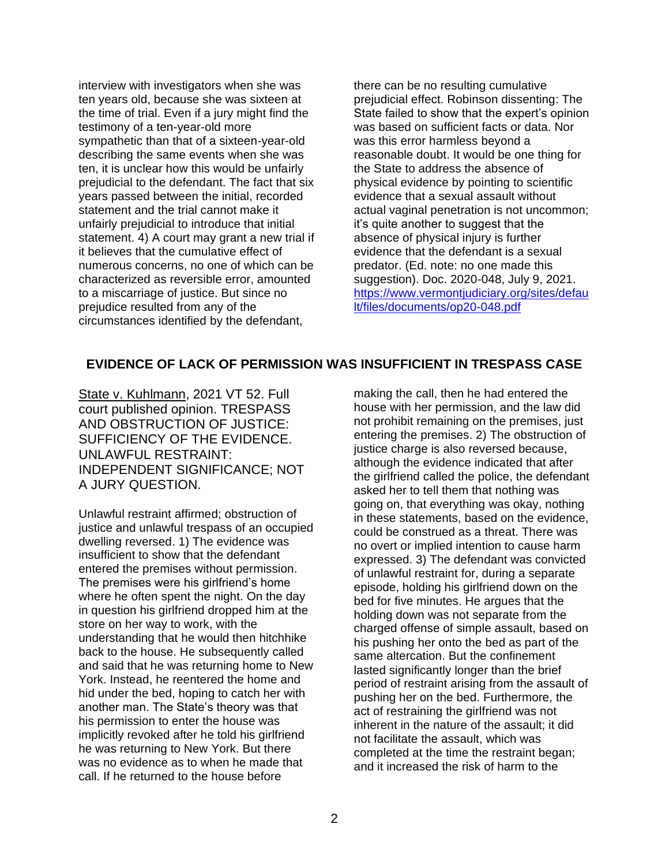interview with investigators when she was ten years old, because she was sixteen at the time of trial. Even if a jury might find the testimony of a ten-year-old more sympathetic than that of a sixteen-year-old describing the same events when she was ten, it is unclear how this would be unfairly prejudicial to the defendant. The fact that six years passed between the initial, recorded statement and the trial cannot make it unfairly prejudicial to introduce that initial statement. 4) A court may grant a new trial if it believes that the cumulative effect of numerous concerns, no one of which can be characterized as reversible error, amounted to a miscarriage of justice. But since no prejudice resulted from any of the circumstances identified by the defendant,

there can be no resulting cumulative prejudicial effect. Robinson dissenting: The State failed to show that the expert's opinion was based on sufficient facts or data. Nor was this error harmless beyond a reasonable doubt. It would be one thing for the State to address the absence of physical evidence by pointing to scientific evidence that a sexual assault without actual vaginal penetration is not uncommon; it's quite another to suggest that the absence of physical injury is further evidence that the defendant is a sexual predator. (Ed. note: no one made this suggestion). Doc. 2020-048, July 9, 2021. [https://www.vermontjudiciary.org/sites/defau](https://www.vermontjudiciary.org/sites/default/files/documents/op20-048.pdf) [lt/files/documents/op20-048.pdf](https://www.vermontjudiciary.org/sites/default/files/documents/op20-048.pdf)

#### **EVIDENCE OF LACK OF PERMISSION WAS INSUFFICIENT IN TRESPASS CASE**

State v. Kuhlmann, 2021 VT 52. Full court published opinion. TRESPASS AND OBSTRUCTION OF JUSTICE: SUFFICIENCY OF THE EVIDENCE. UNLAWFUL RESTRAINT: INDEPENDENT SIGNIFICANCE; NOT A JURY QUESTION.

Unlawful restraint affirmed; obstruction of justice and unlawful trespass of an occupied dwelling reversed. 1) The evidence was insufficient to show that the defendant entered the premises without permission. The premises were his girlfriend's home where he often spent the night. On the day in question his girlfriend dropped him at the store on her way to work, with the understanding that he would then hitchhike back to the house. He subsequently called and said that he was returning home to New York. Instead, he reentered the home and hid under the bed, hoping to catch her with another man. The State's theory was that his permission to enter the house was implicitly revoked after he told his girlfriend he was returning to New York. But there was no evidence as to when he made that call. If he returned to the house before

making the call, then he had entered the house with her permission, and the law did not prohibit remaining on the premises, just entering the premises. 2) The obstruction of justice charge is also reversed because, although the evidence indicated that after the girlfriend called the police, the defendant asked her to tell them that nothing was going on, that everything was okay, nothing in these statements, based on the evidence, could be construed as a threat. There was no overt or implied intention to cause harm expressed. 3) The defendant was convicted of unlawful restraint for, during a separate episode, holding his girlfriend down on the bed for five minutes. He argues that the holding down was not separate from the charged offense of simple assault, based on his pushing her onto the bed as part of the same altercation. But the confinement lasted significantly longer than the brief period of restraint arising from the assault of pushing her on the bed. Furthermore, the act of restraining the girlfriend was not inherent in the nature of the assault; it did not facilitate the assault, which was completed at the time the restraint began; and it increased the risk of harm to the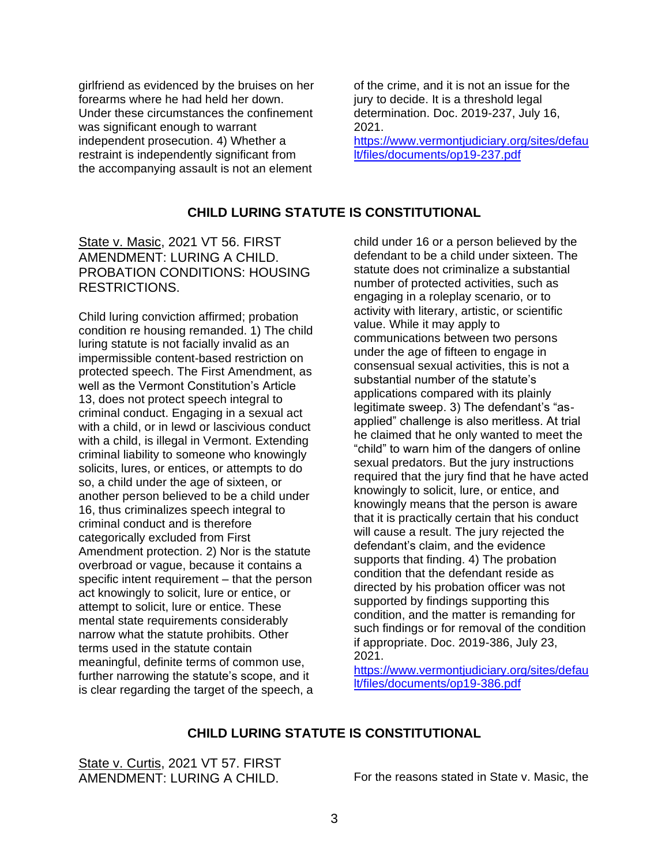girlfriend as evidenced by the bruises on her forearms where he had held her down. Under these circumstances the confinement was significant enough to warrant independent prosecution. 4) Whether a restraint is independently significant from the accompanying assault is not an element

of the crime, and it is not an issue for the jury to decide. It is a threshold legal determination. Doc. 2019-237, July 16, 2021.

[https://www.vermontjudiciary.org/sites/defau](https://www.vermontjudiciary.org/sites/default/files/documents/op19-237.pdf) [lt/files/documents/op19-237.pdf](https://www.vermontjudiciary.org/sites/default/files/documents/op19-237.pdf)

#### **CHILD LURING STATUTE IS CONSTITUTIONAL**

State v. Masic, 2021 VT 56. FIRST AMENDMENT: LURING A CHILD. PROBATION CONDITIONS: HOUSING RESTRICTIONS.

Child luring conviction affirmed; probation condition re housing remanded. 1) The child luring statute is not facially invalid as an impermissible content-based restriction on protected speech. The First Amendment, as well as the Vermont Constitution's Article 13, does not protect speech integral to criminal conduct. Engaging in a sexual act with a child, or in lewd or lascivious conduct with a child, is illegal in Vermont. Extending criminal liability to someone who knowingly solicits, lures, or entices, or attempts to do so, a child under the age of sixteen, or another person believed to be a child under 16, thus criminalizes speech integral to criminal conduct and is therefore categorically excluded from First Amendment protection. 2) Nor is the statute overbroad or vague, because it contains a specific intent requirement – that the person act knowingly to solicit, lure or entice, or attempt to solicit, lure or entice. These mental state requirements considerably narrow what the statute prohibits. Other terms used in the statute contain meaningful, definite terms of common use, further narrowing the statute's scope, and it is clear regarding the target of the speech, a child under 16 or a person believed by the defendant to be a child under sixteen. The statute does not criminalize a substantial number of protected activities, such as engaging in a roleplay scenario, or to activity with literary, artistic, or scientific value. While it may apply to communications between two persons under the age of fifteen to engage in consensual sexual activities, this is not a substantial number of the statute's applications compared with its plainly legitimate sweep. 3) The defendant's "asapplied" challenge is also meritless. At trial he claimed that he only wanted to meet the "child" to warn him of the dangers of online sexual predators. But the jury instructions required that the jury find that he have acted knowingly to solicit, lure, or entice, and knowingly means that the person is aware that it is practically certain that his conduct will cause a result. The jury rejected the defendant's claim, and the evidence supports that finding. 4) The probation condition that the defendant reside as directed by his probation officer was not supported by findings supporting this condition, and the matter is remanding for such findings or for removal of the condition if appropriate. Doc. 2019-386, July 23, 2021.

[https://www.vermontjudiciary.org/sites/defau](https://www.vermontjudiciary.org/sites/default/files/documents/op19-386.pdf) [lt/files/documents/op19-386.pdf](https://www.vermontjudiciary.org/sites/default/files/documents/op19-386.pdf)

#### **CHILD LURING STATUTE IS CONSTITUTIONAL**

State v. Curtis, 2021 VT 57. FIRST

AMENDMENT: LURING A CHILD. For the reasons stated in State v. Masic, the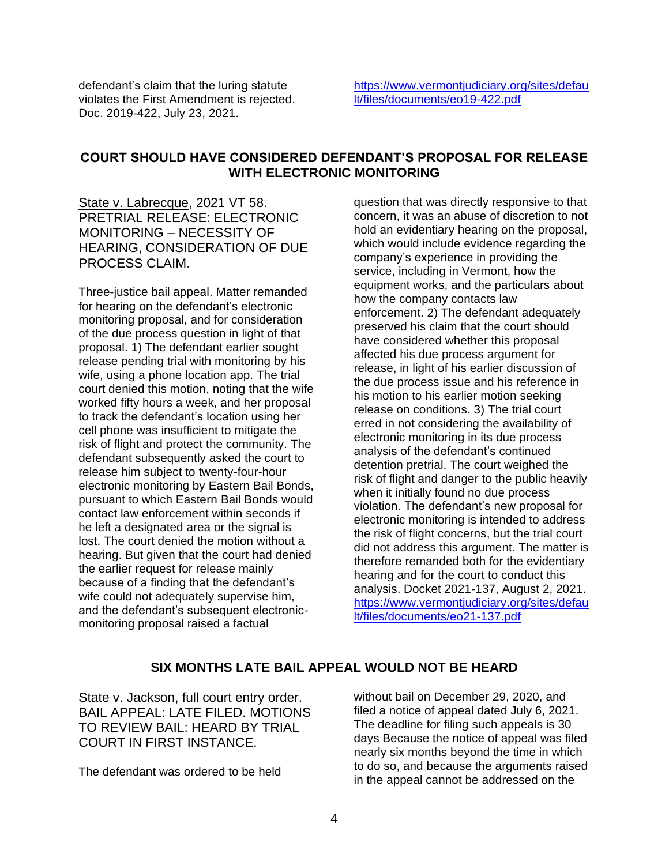defendant's claim that the luring statute violates the First Amendment is rejected. Doc. 2019-422, July 23, 2021.

[https://www.vermontjudiciary.org/sites/defau](https://www.vermontjudiciary.org/sites/default/files/documents/eo19-422.pdf) [lt/files/documents/eo19-422.pdf](https://www.vermontjudiciary.org/sites/default/files/documents/eo19-422.pdf)

#### **COURT SHOULD HAVE CONSIDERED DEFENDANT'S PROPOSAL FOR RELEASE WITH ELECTRONIC MONITORING**

State v. Labrecque, 2021 VT 58. PRETRIAL RELEASE: ELECTRONIC MONITORING – NECESSITY OF HEARING, CONSIDERATION OF DUE PROCESS CLAIM.

Three-justice bail appeal. Matter remanded for hearing on the defendant's electronic monitoring proposal, and for consideration of the due process question in light of that proposal. 1) The defendant earlier sought release pending trial with monitoring by his wife, using a phone location app. The trial court denied this motion, noting that the wife worked fifty hours a week, and her proposal to track the defendant's location using her cell phone was insufficient to mitigate the risk of flight and protect the community. The defendant subsequently asked the court to release him subject to twenty-four-hour electronic monitoring by Eastern Bail Bonds, pursuant to which Eastern Bail Bonds would contact law enforcement within seconds if he left a designated area or the signal is lost. The court denied the motion without a hearing. But given that the court had denied the earlier request for release mainly because of a finding that the defendant's wife could not adequately supervise him. and the defendant's subsequent electronicmonitoring proposal raised a factual

question that was directly responsive to that concern, it was an abuse of discretion to not hold an evidentiary hearing on the proposal, which would include evidence regarding the company's experience in providing the service, including in Vermont, how the equipment works, and the particulars about how the company contacts law enforcement. 2) The defendant adequately preserved his claim that the court should have considered whether this proposal affected his due process argument for release, in light of his earlier discussion of the due process issue and his reference in his motion to his earlier motion seeking release on conditions. 3) The trial court erred in not considering the availability of electronic monitoring in its due process analysis of the defendant's continued detention pretrial. The court weighed the risk of flight and danger to the public heavily when it initially found no due process violation. The defendant's new proposal for electronic monitoring is intended to address the risk of flight concerns, but the trial court did not address this argument. The matter is therefore remanded both for the evidentiary hearing and for the court to conduct this analysis. Docket 2021-137, August 2, 2021. [https://www.vermontjudiciary.org/sites/defau](https://www.vermontjudiciary.org/sites/default/files/documents/eo21-137.pdf) [lt/files/documents/eo21-137.pdf](https://www.vermontjudiciary.org/sites/default/files/documents/eo21-137.pdf)

#### **SIX MONTHS LATE BAIL APPEAL WOULD NOT BE HEARD**

State v. Jackson, full court entry order. BAIL APPEAL: LATE FILED. MOTIONS TO REVIEW BAIL: HEARD BY TRIAL COURT IN FIRST INSTANCE.

The defendant was ordered to be held

without bail on December 29, 2020, and filed a notice of appeal dated July 6, 2021. The deadline for filing such appeals is 30 days Because the notice of appeal was filed nearly six months beyond the time in which to do so, and because the arguments raised in the appeal cannot be addressed on the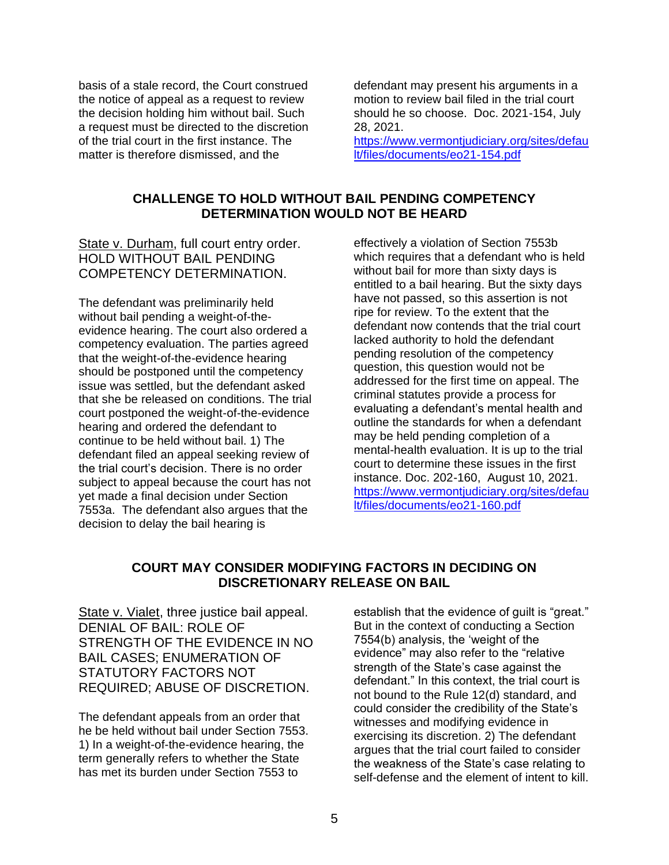basis of a stale record, the Court construed the notice of appeal as a request to review the decision holding him without bail. Such a request must be directed to the discretion of the trial court in the first instance. The matter is therefore dismissed, and the

defendant may present his arguments in a motion to review bail filed in the trial court should he so choose. Doc. 2021-154, July 28, 2021.

[https://www.vermontjudiciary.org/sites/defau](https://www.vermontjudiciary.org/sites/default/files/documents/eo21-154.pdf) [lt/files/documents/eo21-154.pdf](https://www.vermontjudiciary.org/sites/default/files/documents/eo21-154.pdf)

#### **CHALLENGE TO HOLD WITHOUT BAIL PENDING COMPETENCY DETERMINATION WOULD NOT BE HEARD**

State v. Durham, full court entry order. HOLD WITHOUT BAIL PENDING COMPETENCY DETERMINATION.

The defendant was preliminarily held without bail pending a weight-of-theevidence hearing. The court also ordered a competency evaluation. The parties agreed that the weight-of-the-evidence hearing should be postponed until the competency issue was settled, but the defendant asked that she be released on conditions. The trial court postponed the weight-of-the-evidence hearing and ordered the defendant to continue to be held without bail. 1) The defendant filed an appeal seeking review of the trial court's decision. There is no order subject to appeal because the court has not yet made a final decision under Section 7553a. The defendant also argues that the decision to delay the bail hearing is

effectively a violation of Section 7553b which requires that a defendant who is held without bail for more than sixty days is entitled to a bail hearing. But the sixty days have not passed, so this assertion is not ripe for review. To the extent that the defendant now contends that the trial court lacked authority to hold the defendant pending resolution of the competency question, this question would not be addressed for the first time on appeal. The criminal statutes provide a process for evaluating a defendant's mental health and outline the standards for when a defendant may be held pending completion of a mental-health evaluation. It is up to the trial court to determine these issues in the first instance. Doc. 202-160, August 10, 2021. [https://www.vermontjudiciary.org/sites/defau](https://www.vermontjudiciary.org/sites/default/files/documents/eo21-160.pdf) [lt/files/documents/eo21-160.pdf](https://www.vermontjudiciary.org/sites/default/files/documents/eo21-160.pdf)

#### **COURT MAY CONSIDER MODIFYING FACTORS IN DECIDING ON DISCRETIONARY RELEASE ON BAIL**

State v. Vialet, three justice bail appeal. DENIAL OF BAIL: ROLE OF STRENGTH OF THE EVIDENCE IN NO BAIL CASES; ENUMERATION OF STATUTORY FACTORS NOT REQUIRED; ABUSE OF DISCRETION.

The defendant appeals from an order that he be held without bail under Section 7553. 1) In a weight-of-the-evidence hearing, the term generally refers to whether the State has met its burden under Section 7553 to

establish that the evidence of guilt is "great." But in the context of conducting a Section 7554(b) analysis, the 'weight of the evidence" may also refer to the "relative strength of the State's case against the defendant." In this context, the trial court is not bound to the Rule 12(d) standard, and could consider the credibility of the State's witnesses and modifying evidence in exercising its discretion. 2) The defendant argues that the trial court failed to consider the weakness of the State's case relating to self-defense and the element of intent to kill.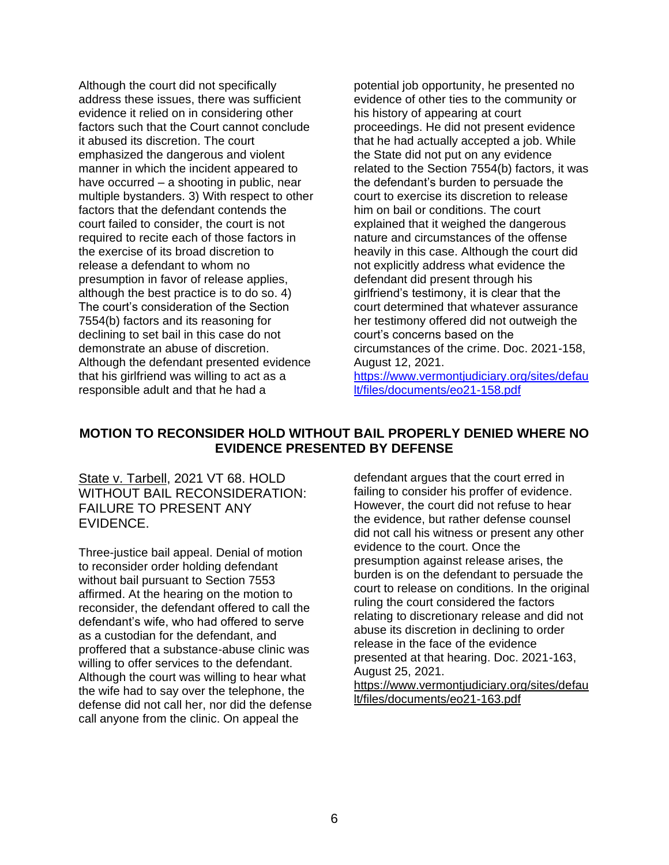Although the court did not specifically address these issues, there was sufficient evidence it relied on in considering other factors such that the Court cannot conclude it abused its discretion. The court emphasized the dangerous and violent manner in which the incident appeared to have occurred – a shooting in public, near multiple bystanders. 3) With respect to other factors that the defendant contends the court failed to consider, the court is not required to recite each of those factors in the exercise of its broad discretion to release a defendant to whom no presumption in favor of release applies, although the best practice is to do so. 4) The court's consideration of the Section 7554(b) factors and its reasoning for declining to set bail in this case do not demonstrate an abuse of discretion. Although the defendant presented evidence that his girlfriend was willing to act as a responsible adult and that he had a

potential job opportunity, he presented no evidence of other ties to the community or his history of appearing at court proceedings. He did not present evidence that he had actually accepted a job. While the State did not put on any evidence related to the Section 7554(b) factors, it was the defendant's burden to persuade the court to exercise its discretion to release him on bail or conditions. The court explained that it weighed the dangerous nature and circumstances of the offense heavily in this case. Although the court did not explicitly address what evidence the defendant did present through his girlfriend's testimony, it is clear that the court determined that whatever assurance her testimony offered did not outweigh the court's concerns based on the circumstances of the crime. Doc. 2021-158, August 12, 2021.

[https://www.vermontjudiciary.org/sites/defau](https://www.vermontjudiciary.org/sites/default/files/documents/eo21-158.pdf) [lt/files/documents/eo21-158.pdf](https://www.vermontjudiciary.org/sites/default/files/documents/eo21-158.pdf)

#### **MOTION TO RECONSIDER HOLD WITHOUT BAIL PROPERLY DENIED WHERE NO EVIDENCE PRESENTED BY DEFENSE**

State v. Tarbell, 2021 VT 68. HOLD WITHOUT BAIL RECONSIDERATION: FAILURE TO PRESENT ANY EVIDENCE.

Three-justice bail appeal. Denial of motion to reconsider order holding defendant without bail pursuant to Section 7553 affirmed. At the hearing on the motion to reconsider, the defendant offered to call the defendant's wife, who had offered to serve as a custodian for the defendant, and proffered that a substance-abuse clinic was willing to offer services to the defendant. Although the court was willing to hear what the wife had to say over the telephone, the defense did not call her, nor did the defense call anyone from the clinic. On appeal the

defendant argues that the court erred in failing to consider his proffer of evidence. However, the court did not refuse to hear the evidence, but rather defense counsel did not call his witness or present any other evidence to the court. Once the presumption against release arises, the burden is on the defendant to persuade the court to release on conditions. In the original ruling the court considered the factors relating to discretionary release and did not abuse its discretion in declining to order release in the face of the evidence presented at that hearing. Doc. 2021-163, August 25, 2021. [https://www.vermontjudiciary.org/sites/defau](https://www.vermontjudiciary.org/sites/default/files/documents/eo21-163.pdf)

[lt/files/documents/eo21-163.pdf](https://www.vermontjudiciary.org/sites/default/files/documents/eo21-163.pdf)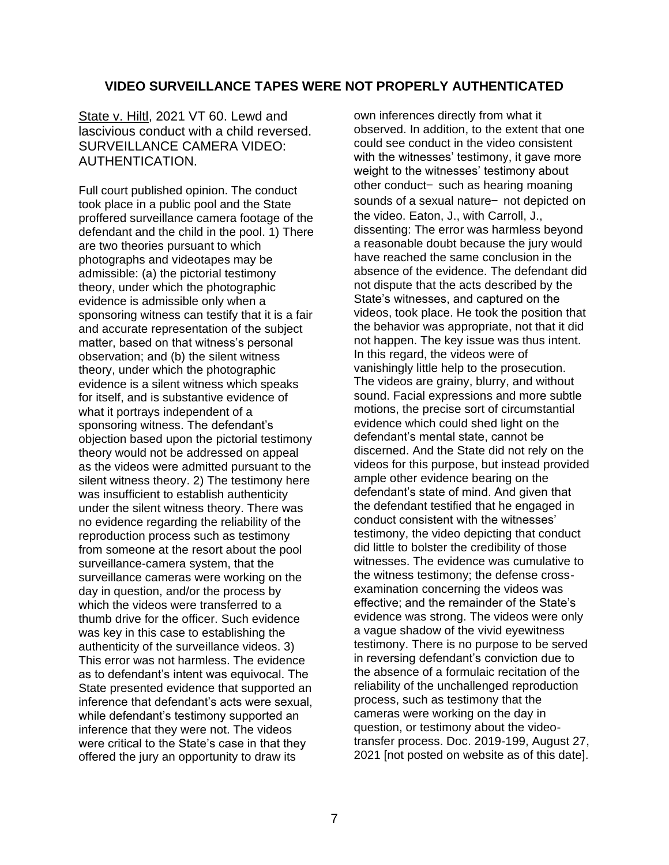#### **VIDEO SURVEILLANCE TAPES WERE NOT PROPERLY AUTHENTICATED**

State v. Hiltl, 2021 VT 60. Lewd and lascivious conduct with a child reversed. SURVEILLANCE CAMERA VIDEO: AUTHENTICATION.

Full court published opinion. The conduct took place in a public pool and the State proffered surveillance camera footage of the defendant and the child in the pool. 1) There are two theories pursuant to which photographs and videotapes may be admissible: (a) the pictorial testimony theory, under which the photographic evidence is admissible only when a sponsoring witness can testify that it is a fair and accurate representation of the subject matter, based on that witness's personal observation; and (b) the silent witness theory, under which the photographic evidence is a silent witness which speaks for itself, and is substantive evidence of what it portrays independent of a sponsoring witness. The defendant's objection based upon the pictorial testimony theory would not be addressed on appeal as the videos were admitted pursuant to the silent witness theory. 2) The testimony here was insufficient to establish authenticity under the silent witness theory. There was no evidence regarding the reliability of the reproduction process such as testimony from someone at the resort about the pool surveillance-camera system, that the surveillance cameras were working on the day in question, and/or the process by which the videos were transferred to a thumb drive for the officer. Such evidence was key in this case to establishing the authenticity of the surveillance videos. 3) This error was not harmless. The evidence as to defendant's intent was equivocal. The State presented evidence that supported an inference that defendant's acts were sexual, while defendant's testimony supported an inference that they were not. The videos were critical to the State's case in that they offered the jury an opportunity to draw its

own inferences directly from what it observed. In addition, to the extent that one could see conduct in the video consistent with the witnesses' testimony, it gave more weight to the witnesses' testimony about other conduct— such as hearing moaning sounds of a sexual nature— not depicted on the video. Eaton, J., with Carroll, J., dissenting: The error was harmless beyond a reasonable doubt because the jury would have reached the same conclusion in the absence of the evidence. The defendant did not dispute that the acts described by the State's witnesses, and captured on the videos, took place. He took the position that the behavior was appropriate, not that it did not happen. The key issue was thus intent. In this regard, the videos were of vanishingly little help to the prosecution. The videos are grainy, blurry, and without sound. Facial expressions and more subtle motions, the precise sort of circumstantial evidence which could shed light on the defendant's mental state, cannot be discerned. And the State did not rely on the videos for this purpose, but instead provided ample other evidence bearing on the defendant's state of mind. And given that the defendant testified that he engaged in conduct consistent with the witnesses' testimony, the video depicting that conduct did little to bolster the credibility of those witnesses. The evidence was cumulative to the witness testimony; the defense crossexamination concerning the videos was effective; and the remainder of the State's evidence was strong. The videos were only a vague shadow of the vivid eyewitness testimony. There is no purpose to be served in reversing defendant's conviction due to the absence of a formulaic recitation of the reliability of the unchallenged reproduction process, such as testimony that the cameras were working on the day in question, or testimony about the videotransfer process. Doc. 2019-199, August 27, 2021 [not posted on website as of this date].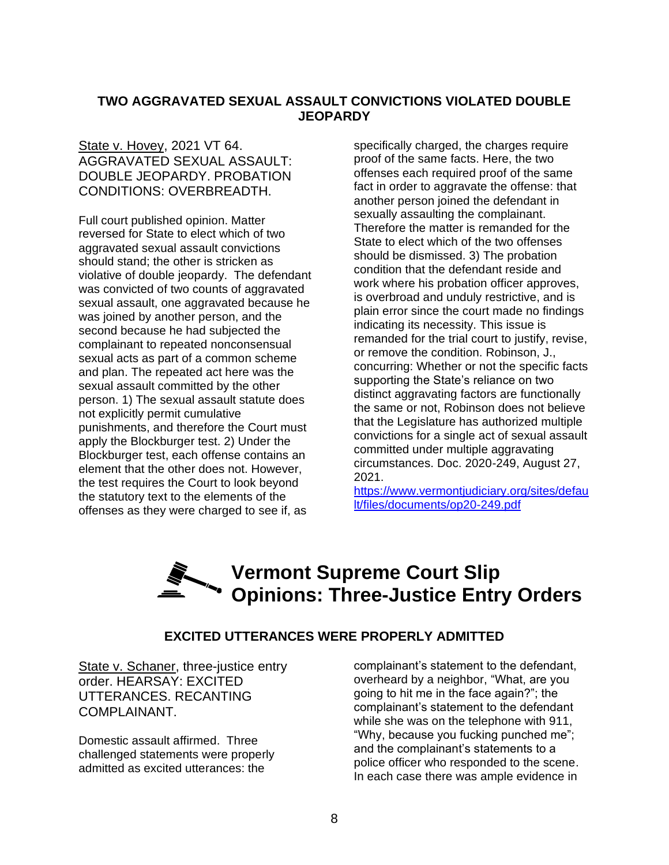#### **TWO AGGRAVATED SEXUAL ASSAULT CONVICTIONS VIOLATED DOUBLE JEOPARDY**

#### State v. Hovey, 2021 VT 64. AGGRAVATED SEXUAL ASSAULT: DOUBLE JEOPARDY. PROBATION CONDITIONS: OVERBREADTH.

Full court published opinion. Matter reversed for State to elect which of two aggravated sexual assault convictions should stand; the other is stricken as violative of double jeopardy. The defendant was convicted of two counts of aggravated sexual assault, one aggravated because he was joined by another person, and the second because he had subjected the complainant to repeated nonconsensual sexual acts as part of a common scheme and plan. The repeated act here was the sexual assault committed by the other person. 1) The sexual assault statute does not explicitly permit cumulative punishments, and therefore the Court must apply the Blockburger test. 2) Under the Blockburger test, each offense contains an element that the other does not. However, the test requires the Court to look beyond the statutory text to the elements of the offenses as they were charged to see if, as

specifically charged, the charges require proof of the same facts. Here, the two offenses each required proof of the same fact in order to aggravate the offense: that another person joined the defendant in sexually assaulting the complainant. Therefore the matter is remanded for the State to elect which of the two offenses should be dismissed. 3) The probation condition that the defendant reside and work where his probation officer approves, is overbroad and unduly restrictive, and is plain error since the court made no findings indicating its necessity. This issue is remanded for the trial court to justify, revise, or remove the condition. Robinson, J., concurring: Whether or not the specific facts supporting the State's reliance on two distinct aggravating factors are functionally the same or not, Robinson does not believe that the Legislature has authorized multiple convictions for a single act of sexual assault committed under multiple aggravating circumstances. Doc. 2020-249, August 27, 2021.

[https://www.vermontjudiciary.org/sites/defau](https://www.vermontjudiciary.org/sites/default/files/documents/op20-249.pdf) [lt/files/documents/op20-249.pdf](https://www.vermontjudiciary.org/sites/default/files/documents/op20-249.pdf)

### **Vermont Supreme Court Slip Opinions: Three-Justice Entry Orders**

#### **EXCITED UTTERANCES WERE PROPERLY ADMITTED**

State v. Schaner, three-justice entry order. HEARSAY: EXCITED UTTERANCES. RECANTING COMPLAINANT.

Domestic assault affirmed. Three challenged statements were properly admitted as excited utterances: the

complainant's statement to the defendant, overheard by a neighbor, "What, are you going to hit me in the face again?"; the complainant's statement to the defendant while she was on the telephone with 911, "Why, because you fucking punched me"; and the complainant's statements to a police officer who responded to the scene. In each case there was ample evidence in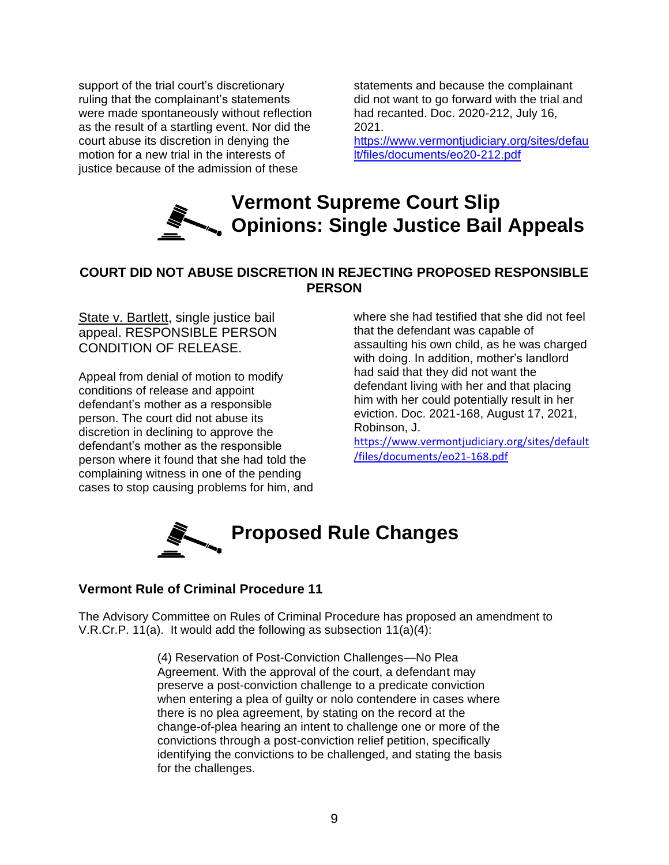support of the trial court's discretionary ruling that the complainant's statements were made spontaneously without reflection as the result of a startling event. Nor did the court abuse its discretion in denying the motion for a new trial in the interests of justice because of the admission of these

statements and because the complainant did not want to go forward with the trial and had recanted. Doc. 2020-212, July 16, 2021.

[https://www.vermontjudiciary.org/sites/defau](https://www.vermontjudiciary.org/sites/default/files/documents/eo20-212.pdf) [lt/files/documents/eo20-212.pdf](https://www.vermontjudiciary.org/sites/default/files/documents/eo20-212.pdf)



#### **COURT DID NOT ABUSE DISCRETION IN REJECTING PROPOSED RESPONSIBLE PERSON**

State v. Bartlett, single justice bail appeal. RESPONSIBLE PERSON CONDITION OF RELEASE.

Appeal from denial of motion to modify conditions of release and appoint defendant's mother as a responsible person. The court did not abuse its discretion in declining to approve the defendant's mother as the responsible person where it found that she had told the complaining witness in one of the pending cases to stop causing problems for him, and where she had testified that she did not feel that the defendant was capable of assaulting his own child, as he was charged with doing. In addition, mother's landlord had said that they did not want the defendant living with her and that placing him with her could potentially result in her eviction. Doc. 2021-168, August 17, 2021, Robinson, J.

[https://www.vermontjudiciary.org/sites/default](https://www.vermontjudiciary.org/sites/default/files/documents/eo21-168.pdf) [/files/documents/eo21-168.pdf](https://www.vermontjudiciary.org/sites/default/files/documents/eo21-168.pdf)



#### **Vermont Rule of Criminal Procedure 11**

The Advisory Committee on Rules of Criminal Procedure has proposed an amendment to V.R.Cr.P. 11(a). It would add the following as subsection 11(a)(4):

> (4) Reservation of Post-Conviction Challenges—No Plea Agreement. With the approval of the court, a defendant may preserve a post-conviction challenge to a predicate conviction when entering a plea of guilty or nolo contendere in cases where there is no plea agreement, by stating on the record at the change-of-plea hearing an intent to challenge one or more of the convictions through a post-conviction relief petition, specifically identifying the convictions to be challenged, and stating the basis for the challenges.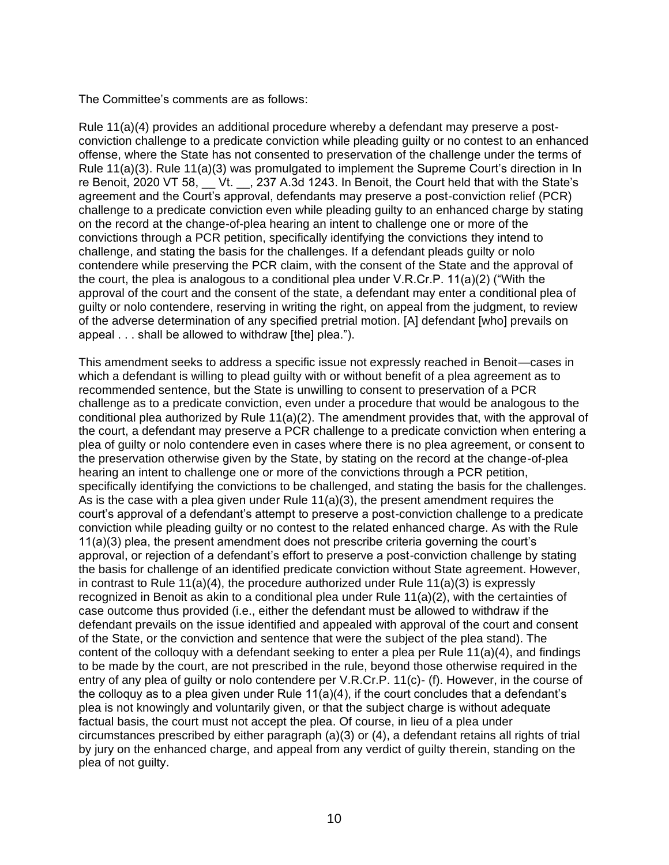The Committee's comments are as follows:

Rule 11(a)(4) provides an additional procedure whereby a defendant may preserve a postconviction challenge to a predicate conviction while pleading guilty or no contest to an enhanced offense, where the State has not consented to preservation of the challenge under the terms of Rule 11(a)(3). Rule 11(a)(3) was promulgated to implement the Supreme Court's direction in In re Benoit, 2020 VT 58, Vt. , 237 A.3d 1243. In Benoit, the Court held that with the State's agreement and the Court's approval, defendants may preserve a post-conviction relief (PCR) challenge to a predicate conviction even while pleading guilty to an enhanced charge by stating on the record at the change-of-plea hearing an intent to challenge one or more of the convictions through a PCR petition, specifically identifying the convictions they intend to challenge, and stating the basis for the challenges. If a defendant pleads guilty or nolo contendere while preserving the PCR claim, with the consent of the State and the approval of the court, the plea is analogous to a conditional plea under V.R.Cr.P. 11(a)(2) ("With the approval of the court and the consent of the state, a defendant may enter a conditional plea of guilty or nolo contendere, reserving in writing the right, on appeal from the judgment, to review of the adverse determination of any specified pretrial motion. [A] defendant [who] prevails on appeal . . . shall be allowed to withdraw [the] plea.").

This amendment seeks to address a specific issue not expressly reached in Benoit—cases in which a defendant is willing to plead guilty with or without benefit of a plea agreement as to recommended sentence, but the State is unwilling to consent to preservation of a PCR challenge as to a predicate conviction, even under a procedure that would be analogous to the conditional plea authorized by Rule 11(a)(2). The amendment provides that, with the approval of the court, a defendant may preserve a PCR challenge to a predicate conviction when entering a plea of guilty or nolo contendere even in cases where there is no plea agreement, or consent to the preservation otherwise given by the State, by stating on the record at the change-of-plea hearing an intent to challenge one or more of the convictions through a PCR petition, specifically identifying the convictions to be challenged, and stating the basis for the challenges. As is the case with a plea given under Rule 11(a)(3), the present amendment requires the court's approval of a defendant's attempt to preserve a post-conviction challenge to a predicate conviction while pleading guilty or no contest to the related enhanced charge. As with the Rule 11(a)(3) plea, the present amendment does not prescribe criteria governing the court's approval, or rejection of a defendant's effort to preserve a post-conviction challenge by stating the basis for challenge of an identified predicate conviction without State agreement. However, in contrast to Rule 11(a)(4), the procedure authorized under Rule 11(a)(3) is expressly recognized in Benoit as akin to a conditional plea under Rule 11(a)(2), with the certainties of case outcome thus provided (i.e., either the defendant must be allowed to withdraw if the defendant prevails on the issue identified and appealed with approval of the court and consent of the State, or the conviction and sentence that were the subject of the plea stand). The content of the colloquy with a defendant seeking to enter a plea per Rule  $11(a)(4)$ , and findings to be made by the court, are not prescribed in the rule, beyond those otherwise required in the entry of any plea of guilty or nolo contendere per V.R.Cr.P. 11(c)- (f). However, in the course of the colloquy as to a plea given under Rule  $11(a)(4)$ , if the court concludes that a defendant's plea is not knowingly and voluntarily given, or that the subject charge is without adequate factual basis, the court must not accept the plea. Of course, in lieu of a plea under circumstances prescribed by either paragraph (a)(3) or (4), a defendant retains all rights of trial by jury on the enhanced charge, and appeal from any verdict of guilty therein, standing on the plea of not guilty.